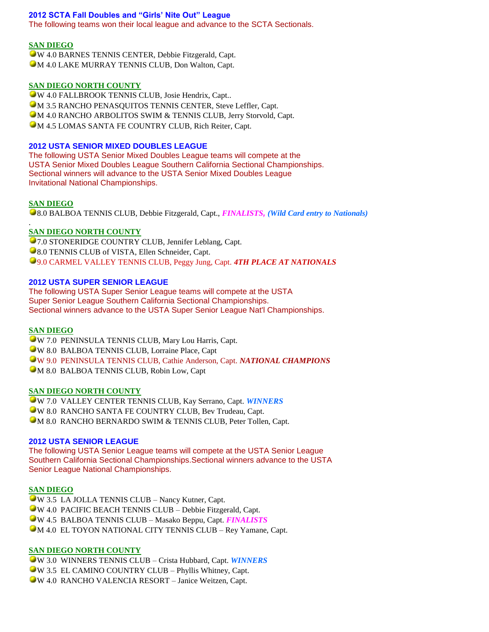## **2012 SCTA Fall Doubles and "Girls' Nite Out" League**

The following teams won their local league and advance to the SCTA Sectionals.

### **SAN DIEGO**

W 4.0 BARNES TENNIS CENTER, Debbie Fitzgerald, Capt. **M 4.0 LAKE MURRAY TENNIS CLUB, Don Walton, Capt.** 

### **SAN DIEGO NORTH COUNTY**

W 4.0 FALLBROOK TENNIS CLUB, Josie Hendrix, Capt.. **M 3.5 RANCHO PENASQUITOS TENNIS CENTER, Steve Leffler, Capt.** M 4.0 RANCHO ARBOLITOS SWIM & TENNIS CLUB, Jerry Storvold, Capt. M 4.5 LOMAS SANTA FE COUNTRY CLUB, Rich Reiter, Capt.

# **2012 USTA SENIOR MIXED DOUBLES LEAGUE**

The following USTA Senior Mixed Doubles League teams will compete at the USTA Senior Mixed Doubles League Southern California Sectional Championships. Sectional winners will advance to the USTA Senior Mixed Doubles League Invitational National Championships.

### **SAN DIEGO**

.

8.0 BALBOA TENNIS CLUB, Debbie Fitzgerald, Capt., *FINALISTS, (Wild Card entry to Nationals)*

# **SAN DIEGO NORTH COUNTY**

**•7.0 STONERIDGE COUNTRY CLUB, Jennifer Leblang, Capt. 8.0 TENNIS CLUB of VISTA, Ellen Schneider, Capt.** 9.0 CARMEL VALLEY TENNIS CLUB, Peggy Jung, Capt. *4TH PLACE AT NATIONALS*

### **2012 USTA SUPER SENIOR LEAGUE**

The following USTA Super Senior League teams will compete at the USTA Super Senior League Southern California Sectional Championships. Sectional winners advance to the USTA Super Senior League Nat'l Championships.

### **SAN DIEGO**

W 7.0 PENINSULA TENNIS CLUB, Mary Lou Harris, Capt. W 8.0 BALBOA TENNIS CLUB, Lorraine Place, Capt W 9.0 PENINSULA TENNIS CLUB, Cathie Anderson, Capt. *NATIONAL CHAMPIONS* M 8.0 BALBOA TENNIS CLUB, Robin Low, Capt

### **SAN DIEGO NORTH COUNTY**

W 7.0 VALLEY CENTER TENNIS CLUB, Kay Serrano, Capt. *WINNERS* W 8.0 RANCHO SANTA FE COUNTRY CLUB, Bev Trudeau, Capt. **M 8.0 RANCHO BERNARDO SWIM & TENNIS CLUB, Peter Tollen, Capt.** 

#### **2012 USTA SENIOR LEAGUE**

The following USTA Senior League teams will compete at the USTA Senior League Southern California Sectional Championships.Sectional winners advance to the USTA Senior League National Championships.

#### **SAN DIEGO**

W 3.5 LA JOLLA TENNIS CLUB – Nancy Kutner, Capt. W 4.0 PACIFIC BEACH TENNIS CLUB – Debbie Fitzgerald, Capt. W 4.5 BALBOA TENNIS CLUB – Masako Beppu, Capt. *FINALISTS* M 4.0 EL TOYON NATIONAL CITY TENNIS CLUB – Rey Yamane, Capt.

#### **SAN DIEGO NORTH COUNTY**

W 3.0 WINNERS TENNIS CLUB – Crista Hubbard, Capt. *WINNERS* W 3.5 EL CAMINO COUNTRY CLUB – Phyllis Whitney, Capt. W 4.0 RANCHO VALENCIA RESORT – Janice Weitzen, Capt.